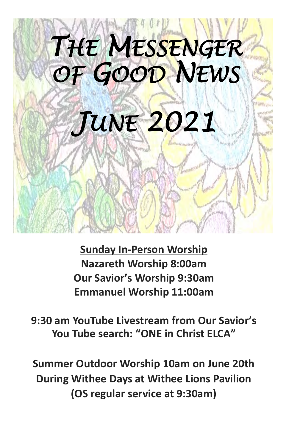

**Sunday In-Person Worship Nazareth Worship 8:00am Our Savior's Worship 9:30am Emmanuel Worship 11:00am** 

**9:30 am YouTube Livestream from Our Savior's You Tube search: "ONE in Christ ELCA"**

**Summer Outdoor Worship 10am on June 20th During Withee Days at Withee Lions Pavilion (OS regular service at 9:30am)**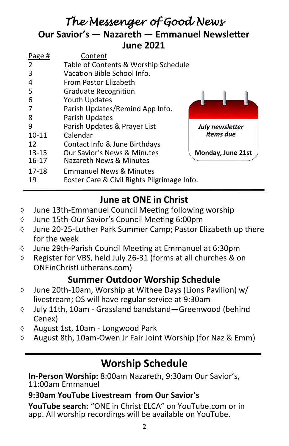## *The Messenger of Good News*  **Our Savior's — Nazareth — Emmanuel Newsletter June 2021**

| July newsletter   |
|-------------------|
|                   |
|                   |
| Monday, June 21st |
|                   |
|                   |
|                   |
|                   |

## **June at ONE in Christ**

- June 13th-Emmanuel Council Meeting following worship
- June 15th-Our Savior's Council Meeting 6:00pm
- June 20-25-Luther Park Summer Camp; Pastor Elizabeth up there for the week
- June 29th-Parish Council Meeting at Emmanuel at 6:30pm
- $\Diamond$  Register for VBS, held July 26-31 (forms at all churches & on ONEinChristLutherans.com)

#### **Summer Outdoor Worship Schedule**

- June 20th-10am, Worship at Withee Days (Lions Pavilion) w/ livestream; OS will have regular service at 9:30am
- July 11th, 10am Grassland bandstand—Greenwood (behind Cenex)
- $\Diamond$  August 1st, 10am Longwood Park
- $\Diamond$  August 8th, 10am-Owen Jr Fair Joint Worship (for Naz & Emm)

## **Worship Schedule**

**In-Person Worship:** 8:00am Nazareth, 9:30am Our Savior's, 11:00am Emmanuel

#### **9:30am YouTube Livestream from Our Savior's**

**YouTube search:** "ONE in Christ ELCA" on YouTube.com or in app. All worship recordings will be available on YouTube.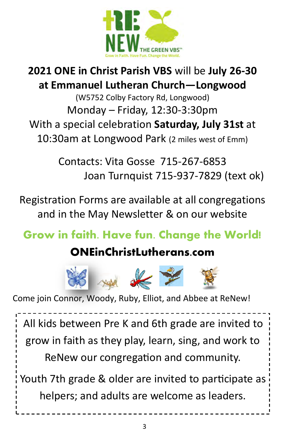

## **2021 ONE in Christ Parish VBS** will be **July 26-30 at Emmanuel Lutheran Church—Longwood**

(W5752 Colby Factory Rd, Longwood) Monday – Friday, 12:30-3:30pm With a special celebration **Saturday, July 31st** at 10:30am at Longwood Park (2 miles west of Emm)

> Contacts: Vita Gosse 715-267-6853 Joan Turnquist 715-937-7829 (text ok)

Registration Forms are available at all congregations and in the May Newsletter & on our website

## **Grow in faith. Have fun. Change the World!**

## **ONEinChristLutherans.com**



Come join Connor, Woody, Ruby, Elliot, and Abbee at ReNew!

All kids between Pre K and 6th grade are invited to grow in faith as they play, learn, sing, and work to ReNew our congregation and community. Youth 7th grade & older are invited to participate as

helpers; and adults are welcome as leaders.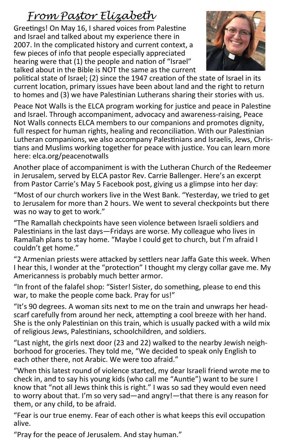## *From Pastor Elizabeth*

Greetings! On May 16, I shared voices from Palestine and Israel and talked about my experience there in 2007. In the complicated history and current context, a few pieces of info that people especially appreciated hearing were that (1) the people and nation of "Israel" talked about in the Bible is NOT the same as the current



political state of Israel; (2) since the 1947 creation of the state of Israel in its current location, primary issues have been about land and the right to return to homes and (3) we have Palestinian Lutherans sharing their stories with us.

Peace Not Walls is the ELCA program working for justice and peace in Palestine and Israel. Through accompaniment, advocacy and awareness-raising, Peace Not Walls connects ELCA members to our companions and promotes dignity, full respect for human rights, healing and reconciliation. With our Palestinian Lutheran companions, we also accompany Palestinians and Israelis, Jews, Christians and Muslims working together for peace with justice. You can learn more here: elca.org/peacenotwalls

Another place of accompaniment is with the Lutheran Church of the Redeemer in Jerusalem, served by ELCA pastor Rev. Carrie Ballenger. Here's an excerpt from Pastor Carrie's May 5 Facebook post, giving us a glimpse into her day:

"Most of our church workers live in the West Bank. "Yesterday, we tried to get to Jerusalem for more than 2 hours. We went to several checkpoints but there was no way to get to work."

"The Ramallah checkpoints have seen violence between Israeli soldiers and Palestinians in the last days—Fridays are worse. My colleague who lives in Ramallah plans to stay home. "Maybe I could get to church, but I'm afraid I couldn't get home."

"2 Armenian priests were attacked by settlers near Jaffa Gate this week. When I hear this, I wonder at the "protection" I thought my clergy collar gave me. My Americanness is probably much better armor.

"In front of the falafel shop: "Sister! Sister, do something, please to end this war, to make the people come back. Pray for us!"

"It's 90 degrees. A woman sits next to me on the train and unwraps her headscarf carefully from around her neck, attempting a cool breeze with her hand. She is the only Palestinian on this train, which is usually packed with a wild mix of religious Jews, Palestinians, schoolchildren, and soldiers.

"Last night, the girls next door (23 and 22) walked to the nearby Jewish neighborhood for groceries. They told me, "We decided to speak only English to each other there, not Arabic. We were too afraid."

"When this latest round of violence started, my dear Israeli friend wrote me to check in, and to say his young kids (who call me "Auntie") want to be sure I know that "not all Jews think this is right." I was so sad they would even need to worry about that. I'm so very sad—and angry!—that there is any reason for them, or any child, to be afraid.

"Fear is our true enemy. Fear of each other is what keeps this evil occupation alive.

"Pray for the peace of Jerusalem. And stay human."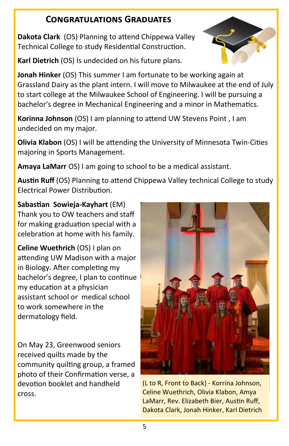#### **Congratulations Graduates**

**Dakota Clark** (OS) Planning to attend Chippewa Valley Technical College to study Residential Construction.

**Karl Dietrich** (OS) Is undecided on his future plans.

**Jonah Hinker** (OS) This summer I am fortunate to be working again at Grassland Dairy as the plant intern. I will move to Milwaukee at the end of July to start college at the Milwaukee School of Engineering. I will be pursuing a bachelor's degree in Mechanical Engineering and a minor in Mathematics.

**Korinna Johnson** (OS) I am planning to attend UW Stevens Point , I am undecided on my major.

**Olivia Klabon** (OS) I will be attending the University of Minnesota Twin-Cities majoring in Sports Management.

**Amaya LaMarr** OS) I am going to school to be a medical assistant.

**Austin Ruff** (OS) Planning to attend Chippewa Valley technical College to study Electrical Power Distribution.

**Sabastian Sowieja-Kayhart** (EM) Thank you to OW teachers and staff for making graduation special with a celebration at home with his family.

**Celine Wuethrich** (OS) I plan on attending UW Madison with a major in Biology. After completing my bachelor's degree, I plan to continue my education at a physician assistant school or medical school to work somewhere in the dermatology field.

On May 23, Greenwood seniors received quilts made by the community quilting group, a framed photo of their Confirmation verse, a devotion booklet and handheld cross.



(L to R, Front to Back) - Korrina Johnson, Celine Wuethrich, Olivia Klabon, Amya LaMarr, Rev. Elizabeth Bier, Austin Ruff, Dakota Clark, Jonah Hinker, Karl Dietrich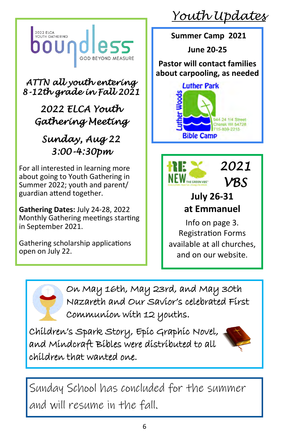

*ATTN all youth entering 8-12th grade in Fall 2021* 

> *2022 ELCA Youth Gathering Meeting*

## *Sunday, Aug 22 3:00-4:30pm*

For all interested in learning more about going to Youth Gathering in Summer 2022; youth and parent/ guardian attend together.

**Gathering Dates:** July 24-28, 2022 Monthly Gathering meetings starting in September 2021.

Gathering scholarship applications open on July 22.

*Youth Updates*

**Summer Camp 2021**

**June 20-25** 

**Pastor will contact families about carpooling, as needed**





## **July 26-31 at Emmanuel**

*VBS*

Info on page 3. Registration Forms available at all churches, and on our website.

On May 16th, May 23rd, and May 30th Nazareth and Our Savior's celebrated First Communion with 12 youths.

Children's Spark Story, Epic Graphic Novel, and Mindcraft Bibles were distributed to all children that wanted one.



Sunday School has concluded for the summer and will resume in the fall.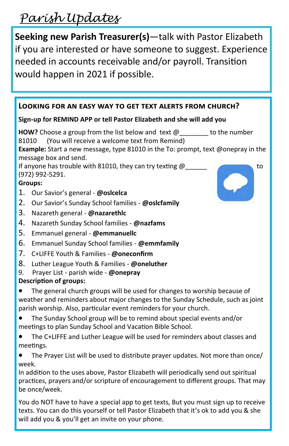## *Parish Updates*

**Seeking new Parish Treasurer(s)**—talk with Pastor Elizabeth if you are interested or have someone to suggest. Experience needed in accounts receivable and/or payroll. Transition would happen in 2021 if possible.

#### **Looking for an easy way to get text alerts from church?**

#### **Sign-up for REMIND APP or tell Pastor Elizabeth and she will add you**

**HOW?** Choose a group from the list below and text @\_\_\_\_\_\_\_\_ to the number 81010 (You will receive a welcome text from Remind)

**Example:** Start a new message, type 81010 in the To: prompt, text @onepray in the message box and send.

If anyone has trouble with 81010, they can try texting  $\omega$ (972) 992-5291.

#### **Groups:**

- 1. Our Savior's general **@oslcelca**
- 2. Our Savior's Sunday School families **@oslcfamily**
- 3. Nazareth general **@nazarethlc**
- 4. Nazareth Sunday School families **@nazfams**
- 5. Emmanuel general **@emmanuellc**
- 6. Emmanuel Sunday School families **@emmfamily**
- 7. C+LIFFE Youth & Families **@oneconfirm**
- 8. Luther League Youth & Families **@oneluther**
- 9. Prayer List parish wide **@onepray**

#### **Description of groups:**

The general church groups will be used for changes to worship because of weather and reminders about major changes to the Sunday Schedule, such as joint parish worship. Also, particular event reminders for your church.

- The Sunday School group will be to remind about special events and/or meetings to plan Sunday School and Vacation Bible School.
- The C+LIFFE and Luther League will be used for reminders about classes and meetings.

• The Prayer List will be used to distribute prayer updates. Not more than once/ week.

In addition to the uses above, Pastor Elizabeth will periodically send out spiritual practices, prayers and/or scripture of encouragement to different groups. That may be once/week.

7 You do NOT have to have a special app to get texts, But you must sign up to receive texts. You can do this yourself or tell Pastor Elizabeth that it's ok to add you & she will add you & you'll get an invite on your phone.

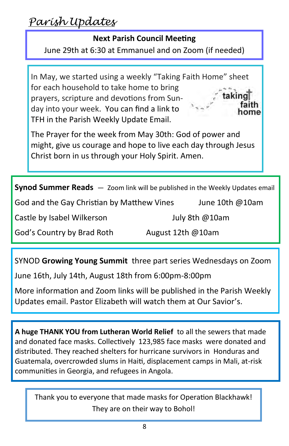*Parish Updates* 

#### **Next Parish Council Meeting**

June 29th at 6:30 at Emmanuel and on Zoom (if needed)

In May, we started using a weekly "Taking Faith Home" sheet for each household to take home to bring taking prayers, scripture and devotions from Sunday into your week. You can find a link to ome TFH in the Parish Weekly Update Email.

The Prayer for the week from May 30th: God of power and might, give us courage and hope to live each day through Jesus Christ born in us through your Holy Spirit. Amen.

**Synod Summer Reads** — Zoom link will be published in the Weekly Updates email

God and the Gay Christian by Matthew Vines June 10th @10am

Castle by Isabel Wilkerson July 8th @10am

God's Country by Brad Roth August 12th @10am

SYNOD **Growing Young Summit** three part series Wednesdays on Zoom

June 16th, July 14th, August 18th from 6:00pm-8:00pm

More information and Zoom links will be published in the Parish Weekly Updates email. Pastor Elizabeth will watch them at Our Savior's.

**A huge THANK YOU from Lutheran World Relief** to all the sewers that made and donated face masks. Collectively 123,985 face masks were donated and distributed. They reached shelters for hurricane survivors in Honduras and Guatemala, overcrowded slums in Haiti, displacement camps in Mali, at-risk communities in Georgia, and refugees in Angola.

Thank you to everyone that made masks for Operation Blackhawk! They are on their way to Bohol!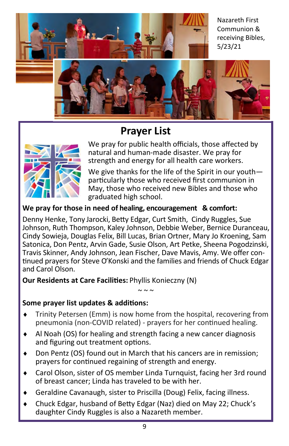Nazareth First Communion & receiving Bibles, 5/23/21



## **Prayer List**



We pray for public health officials, those affected by natural and human-made disaster. We pray for strength and energy for all health care workers.

We give thanks for the life of the Spirit in our youth particularly those who received first communion in May, those who received new Bibles and those who graduated high school.

#### **We pray for those in need of healing, encouragement & comfort:**

Denny Henke, Tony Jarocki, Betty Edgar, Curt Smith, Cindy Ruggles, Sue Johnson, Ruth Thompson, Kaley Johnson, Debbie Weber, Bernice Duranceau, Cindy Sowieja, Douglas Felix, Bill Lucas, Brian Ortner, Mary Jo Kroening, Sam Satonica, Don Pentz, Arvin Gade, Susie Olson, Art Petke, Sheena Pogodzinski, Travis Skinner, Andy Johnson, Jean Fischer, Dave Mavis, Amy. We offer continued prayers for Steve O'Konski and the families and friends of Chuck Edgar and Carol Olson.

**Our Residents at Care Facilities:** Phyllis Konieczny (N)

#### **Some prayer list updates & additions:**

 Trinity Petersen (Emm) is now home from the hospital, recovering from pneumonia (non-COVID related) - prayers for her continued healing.

 $\sim$   $\sim$   $\sim$ 

- Al Noah (OS) for healing and strength facing a new cancer diagnosis and figuring out treatment options.
- Don Pentz (OS) found out in March that his cancers are in remission; prayers for continued regaining of strength and energy.
- Carol Olson, sister of OS member Linda Turnquist, facing her 3rd round of breast cancer; Linda has traveled to be with her.
- Geraldine Cavanaugh, sister to Priscilla (Doug) Felix, facing illness.
- Chuck Edgar, husband of Betty Edgar (Naz) died on May 22; Chuck's daughter Cindy Ruggles is also a Nazareth member.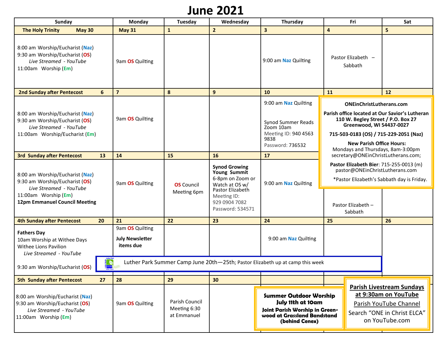## **June 2021**

| Sunday                                                                                                                                                |               | Monday | Tuesday                                                | Wednesday                                     | Thursday                                                                                                                       |                                                                                                                                       | Fri                                                                                                                                                                                                                                                                   | Sat                           |    |
|-------------------------------------------------------------------------------------------------------------------------------------------------------|---------------|--------|--------------------------------------------------------|-----------------------------------------------|--------------------------------------------------------------------------------------------------------------------------------|---------------------------------------------------------------------------------------------------------------------------------------|-----------------------------------------------------------------------------------------------------------------------------------------------------------------------------------------------------------------------------------------------------------------------|-------------------------------|----|
| <b>The Holy Trinity</b>                                                                                                                               | <b>May 30</b> |        | <b>May 31</b>                                          | $\mathbf{1}$                                  | $\overline{2}$                                                                                                                 | $\overline{\mathbf{3}}$                                                                                                               | $\overline{\mathbf{a}}$                                                                                                                                                                                                                                               |                               | 5  |
| 8:00 am Worship/Eucharist (Naz)<br>9:30 am Worship/Eucharist (OS)<br>Live Streamed - YouTube<br>11:00am Worship (Em)                                  |               |        | 9am OS Quilting                                        |                                               |                                                                                                                                | 9:00 am Naz Quilting                                                                                                                  |                                                                                                                                                                                                                                                                       | Pastor Elizabeth -<br>Sabbath |    |
| <b>2nd Sunday after Pentecost</b>                                                                                                                     | 6             |        | $\overline{\mathbf{z}}$                                | 8                                             | 9                                                                                                                              | 10                                                                                                                                    | 11                                                                                                                                                                                                                                                                    |                               | 12 |
| 8:00 am Worship/Eucharist (Naz)<br>9:30 am Worship/Eucharist (OS)<br>Live Streamed - YouTube<br>11:00am Worship/Eucharist (Em)                        |               |        | 9am OS Quilting                                        |                                               |                                                                                                                                | 9:00 am Naz Quilting<br><b>Synod Summer Reads</b><br>Zoom 10am<br>Meeting ID: 940 4563<br>9838<br>Password: 736532                    | <b>ONEinChristLutherans.com</b><br>Parish office located at Our Savior's Lutheran<br>110 W. Begley Street / P.O. Box 27<br>Greenwood, WI 54437-0027<br>715-503-0183 (OS) / 715-229-2051 (Naz)<br><b>New Parish Office Hours:</b><br>Mondays and Thursdays, 8am-3:00pm |                               |    |
| <b>3rd Sunday after Pentecost</b>                                                                                                                     | 13            |        | 14                                                     | 15                                            | 16                                                                                                                             | 17                                                                                                                                    | secretary@ONEinChristLutherans.com;                                                                                                                                                                                                                                   |                               |    |
| 8:00 am Worship/Eucharist (Naz)<br>9:30 am Worship/Eucharist (OS)<br>Live Streamed - YouTube<br>11:00am Worship (Em)<br>12pm Emmanuel Council Meeting |               |        | 9am OS Quilting                                        | <b>OS</b> Council<br>Meeting 6pm              | <b>Synod Growing</b><br>Young Summit<br>6-8pm on Zoom or<br>Watch at OS w/<br>Pastor Elizabeth<br>Meeting ID:<br>929 0904 7082 | 9:00 am Naz Quilting                                                                                                                  | Pastor Elizabeth Bier: 715-255-0013 (m)<br>pastor@ONEinChristLutherans.com<br>*Pastor Elizabeth's Sabbath day is Friday.                                                                                                                                              |                               |    |
|                                                                                                                                                       |               |        |                                                        |                                               | Password: 534571                                                                                                               |                                                                                                                                       | Pastor Elizabeth -<br>Sabbath                                                                                                                                                                                                                                         |                               |    |
| <b>4th Sunday after Pentecost</b>                                                                                                                     | 20            |        | 21                                                     | 22                                            | 23                                                                                                                             | 24                                                                                                                                    | 25                                                                                                                                                                                                                                                                    |                               | 26 |
| <b>Fathers Day</b><br>10am Worship at Withee Days<br>Withee Lions Pavilion<br>Live Streamed - YouTube                                                 |               |        | 9am OS Quilting<br><b>July Newsletter</b><br>items due |                                               |                                                                                                                                | 9:00 am Naz Quilting                                                                                                                  |                                                                                                                                                                                                                                                                       |                               |    |
| Luther Park Summer Camp June 20th-25th; Pastor Elizabeth up at camp this week<br>9:30 am Worship/Eucharist (OS)                                       |               |        |                                                        |                                               |                                                                                                                                |                                                                                                                                       |                                                                                                                                                                                                                                                                       |                               |    |
| <b>5th Sunday after Pentecost</b>                                                                                                                     | 27            |        | 28                                                     | 29                                            | 30                                                                                                                             |                                                                                                                                       |                                                                                                                                                                                                                                                                       |                               |    |
| 8:00 am Worship/Eucharist (Naz)<br>9:30 am Worship/Eucharist (OS)<br>Live Streamed - YouTube<br>11:00am Worship (Em)                                  |               |        | 9am OS Quilting                                        | Parish Council<br>Meeting 6:30<br>at Emmanuel |                                                                                                                                | <b>Summer Outdoor Worship</b><br>July 11th at 10am<br>Joint Parish Worship in Green-<br>wood at Grassland Bandstand<br>(behind Cenex) | <b>Parish Livestream Sundays</b><br>at 9:30am on YouTube<br>Parish YouTube Channel<br>Search "ONE in Christ ELCA"<br>on YouTube.com                                                                                                                                   |                               |    |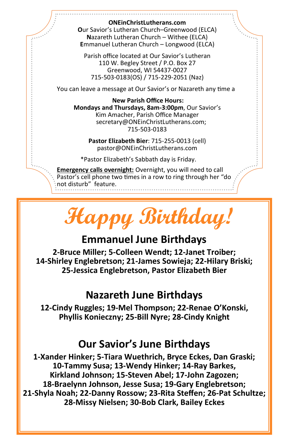#### **ONEinChristLutherans.com**

**O**ur Savior's Lutheran Church–Greenwood (ELCA) **N**azareth Lutheran Church – Withee (ELCA) **E**mmanuel Lutheran Church – Longwood (ELCA)

Parish office located at Our Savior's Lutheran 110 W. Begley Street / P.O. Box 27 Greenwood, WI 54437-0027 715-503-0183(OS) / 715-229-2051 (Naz)

You can leave a message at Our Savior's or Nazareth any time a

**New Parish Office Hours: Mondays and Thursdays, 8am-3:00pm**, Our Savior's Kim Amacher, Parish Office Manager secretary@ONEinChristLutherans.com; 715-503-0183

**Pastor Elizabeth Bier**: 715-255-0013 (cell) pastor@ONEinChristLutherans.com

\*Pastor Elizabeth's Sabbath day is Friday.

**Emergency calls overnight:** Overnight, you will need to call Pastor's cell phone two times in a row to ring through her "do not disturb" feature.



## **Emmanuel June Birthdays**

**2-Bruce Miller; 5-Colleen Wendt; 12-Janet Troiber; 14-Shirley Englebretson; 21-James Sowieja; 22-Hilary Briski; 25-Jessica Englebretson, Pastor Elizabeth Bier**

### **Nazareth June Birthdays**

**12-Cindy Ruggles; 19-Mel Thompson; 22-Renae O'Konski, Phyllis Konieczny; 25-Bill Nyre; 28-Cindy Knight**

## **Our Savior's June Birthdays**

**-Xander Hinker; 5-Tiara Wuethrich, Bryce Eckes, Dan Graski; -Tammy Susa; 13-Wendy Hinker; 14-Ray Barkes, Kirkland Johnson; 15-Steven Abel; 17-John Zagozen; -Braelynn Johnson, Jesse Susa; 19-Gary Englebretson; -Shyla Noah; 22-Danny Rossow; 23-Rita Steffen; 26-Pat Schultze; -Missy Nielsen; 30-Bob Clark, Bailey Eckes**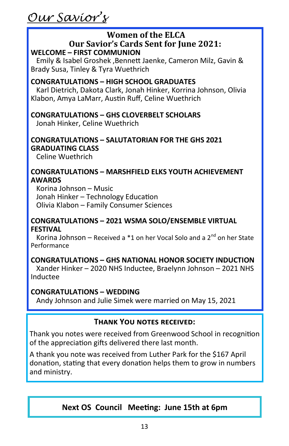*Our Savior's*

#### **Women of the ELCA Our Savior's Cards Sent for June 2021: WELCOME – FIRST COMMUNION**

 Emily & Isabel Groshek ,Bennett Jaenke, Cameron Milz, Gavin & Brady Susa, Tinley & Tyra Wuethrich

#### **CONGRATULATIONS – HIGH SCHOOL GRADUATES**

 Karl Dietrich, Dakota Clark, Jonah Hinker, Korrina Johnson, Olivia Klabon, Amya LaMarr, Austin Ruff, Celine Wuethrich

#### **CONGRATULATIONS – GHS CLOVERBELT SCHOLARS**

Jonah Hinker, Celine Wuethrich

#### **CONGRATULATIONS – SALUTATORIAN FOR THE GHS 2021 GRADUATING CLASS**

Celine Wuethrich

#### **CONGRATULATIONS – MARSHFIELD ELKS YOUTH ACHIEVEMENT AWARDS**

 Korina Johnson – Music Jonah Hinker – Technology Education Olivia Klabon – Family Consumer Sciences

#### **CONGRATULATIONS – 2021 WSMA SOLO/ENSEMBLE VIRTUAL FESTIVAL**

Korina Johnson – Received a  $*1$  on her Vocal Solo and a 2<sup>nd</sup> on her State Performance

#### **CONGRATULATIONS – GHS NATIONAL HONOR SOCIETY INDUCTION**

 Xander Hinker – 2020 NHS Inductee, Braelynn Johnson – 2021 NHS Inductee

#### **CONGRATULATIONS – WEDDING**

Andy Johnson and Julie Simek were married on May 15, 2021

#### **Thank You notes received:**

Thank you notes were received from Greenwood School in recognition of the appreciation gifts delivered there last month.

A thank you note was received from Luther Park for the \$167 April donation, stating that every donation helps them to grow in numbers and ministry.

#### **Next OS Council Meeting: June 15th at 6pm**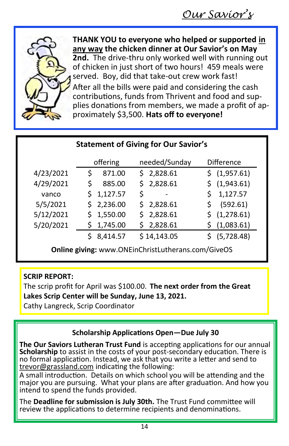

**THANK YOU to everyone who helped or supported in any way the chicken dinner at Our Savior's on May 2nd.** The drive-thru only worked well with running out of chicken in just short of two hours! 459 meals were served. Boy, did that take-out crew work fast!

After all the bills were paid and considering the cash contributions, funds from Thrivent and food and supplies donations from members, we made a profit of approximately \$3,500. **Hats off to everyone!**

| <b>Statement of Giving for Our Savior's</b> |                |                                |                   |  |  |  |  |  |  |
|---------------------------------------------|----------------|--------------------------------|-------------------|--|--|--|--|--|--|
|                                             | offering       | needed/Sunday                  | <b>Difference</b> |  |  |  |  |  |  |
| 4/23/2021                                   | 871.00<br>S    | \$2,828.61                     | \$ (1,957.61)     |  |  |  |  |  |  |
| 4/29/2021                                   | \$<br>885.00   | \$2,828.61                     | \$(1,943.61)      |  |  |  |  |  |  |
| vanco                                       | 1,127.57<br>S. | \$<br>$\overline{\phantom{0}}$ | 1,127.57          |  |  |  |  |  |  |
| 5/5/2021                                    | \$2,236.00     | \$2,828.61                     | (592.61)          |  |  |  |  |  |  |
| 5/12/2021                                   | 1,550.00<br>S. | \$2,828.61                     | (1, 278.61)       |  |  |  |  |  |  |
| 5/20/2021                                   | 1,745.00<br>S  | \$2,828.61                     | (1,083.61)        |  |  |  |  |  |  |
|                                             | 8,414.57       | \$14,143.05                    | (5,728.48)        |  |  |  |  |  |  |

**Online giving:** www.ONEinChristLutherans.com/GiveOS

#### **SCRIP REPORT:**

The scrip profit for April was \$100.00. **The next order from the Great Lakes Scrip Center will be Sunday, June 13, 2021.** 

Cathy Langreck, Scrip Coordinator

#### **Scholarship Applications Open—Due July 30**

**The Our Saviors Lutheran Trust Fund** is accepting applications for our annual **Scholarship** to assist in the costs of your post-secondary education. There is no formal application. Instead, we ask that you write a letter and send to [trevor@grassland.com](mailto:trevor@grassland.com) indicating the following:

A small introduction. Details on which school you will be attending and the major you are pursuing. What your plans are after graduation. And how you intend to spend the funds provided.

The **Deadline for submission is July 30th.** The Trust Fund committee will review the applications to determine recipients and denominations.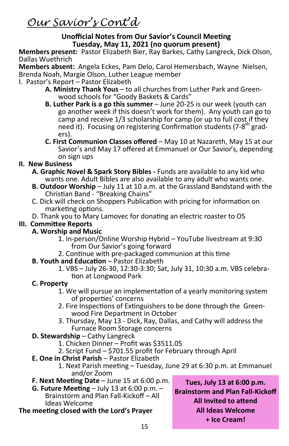*Our Savior's Cont'd*

#### **Unofficial Notes from Our Savior's Council Meeting Tuesday, May 11, 2021 (no quorum present)**

**Members present:** Pastor Elizabeth Bier, Ray Barkes, Cathy Langreck, Dick Olson, Dallas Wuethrich

**Members absent:** Angela Eckes, Pam Delo, Carol Hemersbach, Wayne Nielsen, Brenda Noah, Margie Olson, Luther League member

I. Pastor's Report – Pastor Elizabeth

- **A. Ministry Thank Yous** to all churches from Luther Park and Greenwood schools for "Goody Baskets & Cards"
- **B. Luther Park is a go this summer** June 20-25 is our week (youth can go another week if this doesn't work for them). Any youth can go to camp and receive 1/3 scholarship for camp (or up to full cost if they need it). Focusing on registering Confirmation students (7-8<sup>th</sup> graders).
- **C. First Communion Classes offered** May 10 at Nazareth, May 15 at our Savior's and May 17 offered at Emmanuel or Our Savior's, depending on sign ups

#### **II. New Business**

- **A. Graphic Novel & Spark Story Bibles -** Funds are available to any kid who wants one. Adult Bibles are also available to any adult who wants one.
- **B. Outdoor Worship**  July 11 at 10 a.m. at the Grassland Bandstand with the Christian Band - "Breaking Chains"
- C. Dick will check on Shoppers Publication with pricing for information on marketing options.
- D. Thank you to Mary Lamovec for donating an electric roaster to OS

#### **III. Committee Reports**

#### **A. Worship and Music**

- 1. In-person/Online Worship Hybrid YouTube livestream at 9:30 from Our Savior's going forward
- 2. Continue with pre-packaged communion at this time

#### **B. Youth and Education** – Pastor Elizabeth

1. VBS – July 26-30, 12:30-3:30; Sat, July 31, 10:30 a.m. VBS celebration at Longwood Park

#### **C. Property**

- 1. We will pursue an implementation of a yearly monitoring system of properties' concerns
- 2. Fire Inspections of Extinguishers to be done through the Greenwood Fire Department in October
- 3. Thursday, May 13 Dick, Ray, Dallas, and Cathy will address the Furnace Room Storage concerns
- **D. Stewardship** Cathy Langreck
	- 1. Chicken Dinner Profit was \$3511.05
	- 2. Script Fund \$701.55 profit for February through April
- **E. One in Christ Parish** Pastor Elizabeth
	- 1. Next Parish meeting Tuesday, June 29 at 6:30 p.m. at Emmanuel and/or Zoom
- **F. Next Meeting Date** June 15 at 6:00 p.m.
- **G. Future Meeting** July 13 at 6:00 p.m. Brainstorm and Plan Fall-Kickoff – All Ideas Welcome

#### **The meeting closed with the Lord's Prayer**

**Tues, July 13 at 6:00 p.m. Brainstorm and Plan Fall-Kickoff All Invited to attend All Ideas Welcome + Ice Cream!**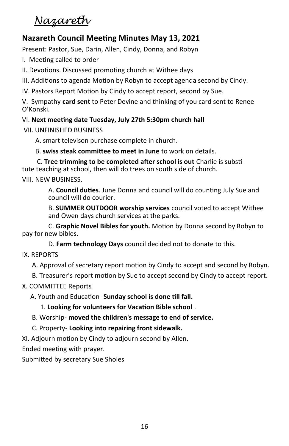## *Nazareth*

#### **Nazareth Council Meeting Minutes May 13, 2021**

Present: Pastor, Sue, Darin, Allen, Cindy, Donna, and Robyn

I. Meeting called to order

II. Devotions. Discussed promoting church at Withee days

III. Additions to agenda Motion by Robyn to accept agenda second by Cindy.

IV. Pastors Report Motion by Cindy to accept report, second by Sue.

V. Sympathy **card sent** to Peter Devine and thinking of you card sent to Renee O'Konski.

#### VI. **Next meeting date Tuesday, July 27th 5:30pm church hall**

VII. UNFINISHED BUSINESS

A. smart televison purchase complete in church.

B. **swiss steak committee to meet in June** to work on details.

C. **Tree trimming to be completed after school is out** Charlie is substitute teaching at school, then will do trees on south side of church. VIII. NEW BUSINESS.

> A. **Council duties**. June Donna and council will do counting July Sue and council will do courier.

B. **SUMMER OUTDOOR worship services** council voted to accept Withee and Owen days church services at the parks.

C. **Graphic Novel Bibles for youth.** Motion by Donna second by Robyn to pay for new bibles.

D. **Farm technology Days** council decided not to donate to this.

#### IX. REPORTS

A. Approval of secretary report motion by Cindy to accept and second by Robyn.

B. Treasurer's report motion by Sue to accept second by Cindy to accept report.

#### X. COMMITTEE Reports

A. Youth and Education- **Sunday school is done till fall.**

1. **Looking for volunteers for Vacation Bible school** .

#### B. Worship- **moved the children's message to end of service.**

C. Property- **Looking into repairing front sidewalk.**

XI. Adjourn motion by Cindy to adjourn second by Allen.

Ended meeting with prayer.

Submitted by secretary Sue Sholes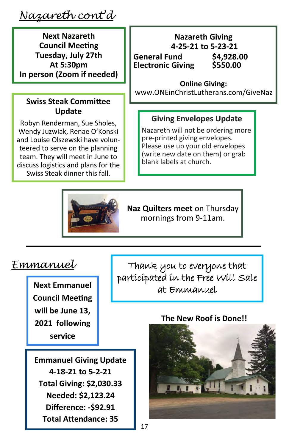*Nazareth cont'd*

**Next Nazareth Council Meeting Tuesday, July 27th At 5:30pm In person (Zoom if needed)**

#### **Swiss Steak Committee Update**

Robyn Renderman, Sue Sholes, Wendy Juzwiak, Renae O'Konski and Louise Olszewski have volunteered to serve on the planning team. They will meet in June to discuss logistics and plans for the Swiss Steak dinner this fall.

#### **Nazareth Giving 4-25-21 to 5-23-21** General Fund \$4,928.00<br>Electronic Giving \$550.00 **Electronic Giving**

**Online Giving:**

www.ONEinChristLutherans.com/GiveNaz

#### **Giving Envelopes Update**

Nazareth will not be ordering more pre-printed giving envelopes. Please use up your old envelopes (write new date on them) or grab blank labels at church.



**Naz Quilters meet** on Thursday mornings from 9-11am.

#### *Emmanuel*

**Next Emmanuel Council Meeting will be June 13, 2021 following service** 

Thank you to everyone that participated in the Free Will Sale at Emmanuel

**Emmanuel Giving Update 4-18-21 to 5-2-21 Total Giving: \$2,030.33 Needed: \$2,123.24 Difference: -\$92.91 Total Attendance: 35**

#### **The New Roof is Done!!**

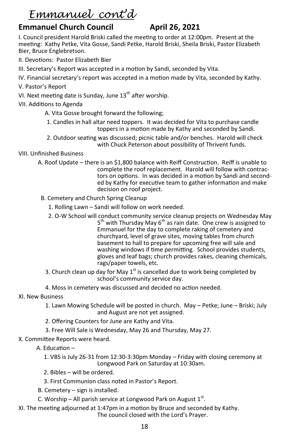## *Emmanuel cont'd*

#### **Emmanuel Church Council April 26, 2021**

I. Council president Harold Briski called the meeting to order at 12:00pm. Present at the meeting: Kathy Petke, Vita Gosse, Sandi Petke, Harold Briski, Sheila Briski, Pastor Elizabeth Bier, Bruce Englebretson.

- II. Devotions: Pastor Elizabeth Bier
- III. Secretary's Report was accepted in a motion by Sandi, seconded by Vita.
- IV. Financial secretary's report was accepted in a motion made by Vita, seconded by Kathy.
- V. Pastor's Report
- VI. Next meeting date is Sunday, June 13<sup>th</sup> after worship.
- VII. Additions to Agenda
	- A. Vita Gosse brought forward the following;
	- 1. Candles in hall altar need toppers. It was decided for Vita to purchase candle toppers in a motion made by Kathy and seconded by Sandi.
	- 2. Outdoor seating was discussed; picnic table and/or benches. Harold will check with Chuck Peterson about possibility of Thrivent funds.

#### VIII. Unfinished Business

- A. Roof Update there is an \$1,800 balance with Reiff Construction. Reiff is unable to complete the roof replacement. Harold will follow with contractors on options. In was decided in a motion by Sandi and seconded by Kathy for executive team to gather information and make decision on roof project.
- B. Cemetery and Church Spring Cleanup
	- 1. Rolling Lawn Sandi will follow on work needed.
	- 2. O-W School will conduct community service cleanup projects on Wednesday May 5<sup>th</sup> with Thursday May 6<sup>th</sup> as rain date. One crew is assigned to Emmanuel for the day to complete raking of cemetery and churchyard, level of grave sites, moving tables from church basement to hall to prepare for upcoming free will sale and washing windows if time permitting. School provides students, gloves and leaf bags; church provides rakes, cleaning chemicals, rags/paper towels, etc.
	- 3. Church clean up day for May  $1^{st}$  is cancelled due to work being completed by school's community service day.
	- 4. Moss in cemetery was discussed and decided no action needed.
- XI. New Business
	- 1. Lawn Mowing Schedule will be posted in church. May Petke; June Briski; July and August are not yet assigned.
	- 2. Offering Counters for June are Kathy and Vita.
	- 3. Free Will Sale is Wednesday, May 26 and Thursday, May 27.
- X. Committee Reports were heard.
	- A. Education
		- 1. VBS is July 26-31 from 12:30-3:30pm Monday Friday with closing ceremony at Longwood Park on Saturday at 10:30am.
		- 2. Bibles will be ordered.
		- 3. First Communion class noted in Pastor's Report.
	- B. Cemetery sign is installed.
- C. Worship All parish service at Longwood Park on August  $1<sup>st</sup>$ .
- XI. The meeting adjourned at 1:47pm in a motion by Bruce and seconded by Kathy. The council closed with the Lord's Prayer.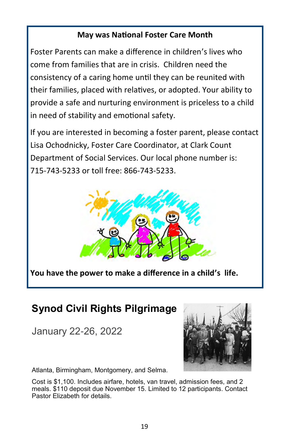#### **May was National Foster Care Month**

Foster Parents can make a difference in children's lives who come from families that are in crisis. Children need the consistency of a caring home until they can be reunited with their families, placed with relatives, or adopted. Your ability to provide a safe and nurturing environment is priceless to a child in need of stability and emotional safety.

If you are interested in becoming a foster parent, please contact Lisa Ochodnicky, Foster Care Coordinator, at Clark Count Department of Social Services. Our local phone number is: 715-743-5233 or toll free: 866-743-5233.



**You have the power to make a difference in a child's life.**

## **Synod Civil Rights Pilgrimage**

January 22-26, 2022



Atlanta, Birmingham, Montgomery, and Selma.

Cost is \$1,100. Includes airfare, hotels, van travel, admission fees, and 2 meals. \$110 deposit due November 15. Limited to 12 participants. Contact Pastor Elizabeth for details.